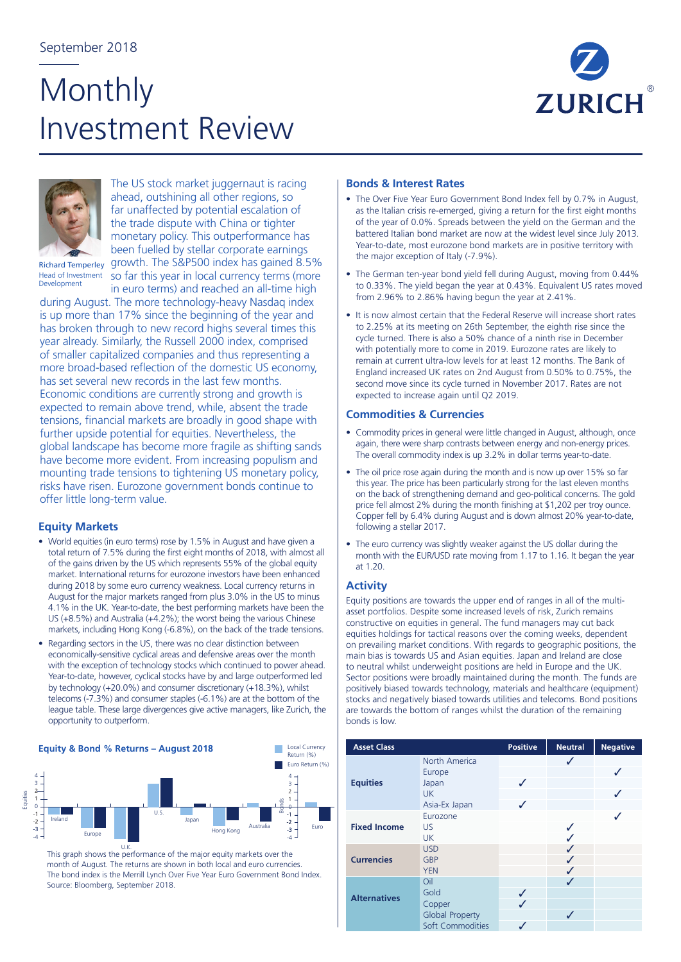# **Monthly** Investment Review





The US stock market juggernaut is racing ahead, outshining all other regions, so far unaffected by potential escalation of the trade dispute with China or tighter monetary policy. This outperformance has been fuelled by stellar corporate earnings growth. The S&P500 index has gained 8.5% so far this year in local currency terms (more

in euro terms) and reached an all-time high

Richard Temperley Head of Investment Development

during August. The more technology-heavy Nasdaq index is up more than 17% since the beginning of the year and has broken through to new record highs several times this year already. Similarly, the Russell 2000 index, comprised of smaller capitalized companies and thus representing a more broad-based reflection of the domestic US economy, has set several new records in the last few months. Economic conditions are currently strong and growth is expected to remain above trend, while, absent the trade tensions, financial markets are broadly in good shape with further upside potential for equities. Nevertheless, the global landscape has become more fragile as shifting sands have become more evident. From increasing populism and mounting trade tensions to tightening US monetary policy, risks have risen. Eurozone government bonds continue to offer little long-term value.

## **Equity Markets**

- World equities (in euro terms) rose by 1.5% in August and have given a total return of 7.5% during the first eight months of 2018, with almost all of the gains driven by the US which represents 55% of the global equity market. International returns for eurozone investors have been enhanced during 2018 by some euro currency weakness. Local currency returns in August for the major markets ranged from plus 3.0% in the US to minus 4.1% in the UK. Year-to-date, the best performing markets have been the US (+8.5%) and Australia (+4.2%); the worst being the various Chinese markets, including Hong Kong (-6.8%), on the back of the trade tensions.
- Regarding sectors in the US, there was no clear distinction between economically-sensitive cyclical areas and defensive areas over the month with the exception of technology stocks which continued to power ahead. Year-to-date, however, cyclical stocks have by and large outperformed led by technology (+20.0%) and consumer discretionary (+18.3%), whilst telecoms (-7.3%) and consumer staples (-6.1%) are at the bottom of the league table. These large divergences give active managers, like Zurich, the opportunity to outperform.



U.K. This graph shows the performance of the major equity markets over the month of August. The returns are shown in both local and euro currencies. The bond index is the Merrill Lynch Over Five Year Euro Government Bond Index. Source: Bloomberg, September 2018.

### **Bonds & Interest Rates**

- The Over Five Year Euro Government Bond Index fell by 0.7% in August, as the Italian crisis re-emerged, giving a return for the first eight months of the year of 0.0%. Spreads between the yield on the German and the battered Italian bond market are now at the widest level since July 2013. Year-to-date, most eurozone bond markets are in positive territory with the major exception of Italy (-7.9%).
- The German ten-year bond yield fell during August, moving from 0.44% to 0.33%. The yield began the year at 0.43%. Equivalent US rates moved from 2.96% to 2.86% having begun the year at 2.41%.
- It is now almost certain that the Federal Reserve will increase short rates to 2.25% at its meeting on 26th September, the eighth rise since the cycle turned. There is also a 50% chance of a ninth rise in December with potentially more to come in 2019. Eurozone rates are likely to remain at current ultra-low levels for at least 12 months. The Bank of England increased UK rates on 2nd August from 0.50% to 0.75%, the second move since its cycle turned in November 2017. Rates are not expected to increase again until Q2 2019.

### **Commodities & Currencies**

- Commodity prices in general were little changed in August, although, once again, there were sharp contrasts between energy and non-energy prices. The overall commodity index is up 3.2% in dollar terms year-to-date.
- The oil price rose again during the month and is now up over 15% so far this year. The price has been particularly strong for the last eleven months on the back of strengthening demand and geo-political concerns. The gold price fell almost 2% during the month finishing at \$1,202 per troy ounce. Copper fell by 6.4% during August and is down almost 20% year-to-date, following a stellar 2017.
- The euro currency was slightly weaker against the US dollar during the month with the EUR/USD rate moving from 1.17 to 1.16. It began the year at 1.20.

### **Activity**

are towards the bottom of ranges whilst the duration of the remaining Equity positions are towards the upper end of ranges in all of the multiasset portfolios. Despite some increased levels of risk, Zurich remains constructive on equities in general. The fund managers may cut back equities holdings for tactical reasons over the coming weeks, dependent on prevailing market conditions. With regards to geographic positions, the main bias is towards US and Asian equities. Japan and Ireland are close to neutral whilst underweight positions are held in Europe and the UK. Sector positions were broadly maintained during the month. The funds are positively biased towards technology, materials and healthcare (equipment) stocks and negatively biased towards utilities and telecoms. Bond positions bonds is low.

| <b>Asset Class</b>  |                        | <b>Positive</b> | <b>Neutral</b> | <b>Negative</b> |
|---------------------|------------------------|-----------------|----------------|-----------------|
| <b>Equities</b>     | North America          |                 | ✓              |                 |
|                     | Europe                 |                 |                |                 |
|                     | Japan                  | ✓               |                |                 |
|                     | <b>UK</b>              |                 |                |                 |
|                     | Asia-Ex Japan          | J               |                |                 |
| <b>Fixed Income</b> | Eurozone               |                 |                |                 |
|                     | US.                    |                 |                |                 |
|                     | <b>UK</b>              |                 |                |                 |
| <b>Currencies</b>   | <b>USD</b>             |                 |                |                 |
|                     | GBP                    |                 |                |                 |
|                     | <b>YEN</b>             |                 | ✓              |                 |
| <b>Alternatives</b> | Oil                    |                 |                |                 |
|                     | Gold                   | ✓               |                |                 |
|                     | Copper                 | J               |                |                 |
|                     | <b>Global Property</b> |                 |                |                 |
|                     | Soft Commodities       |                 |                |                 |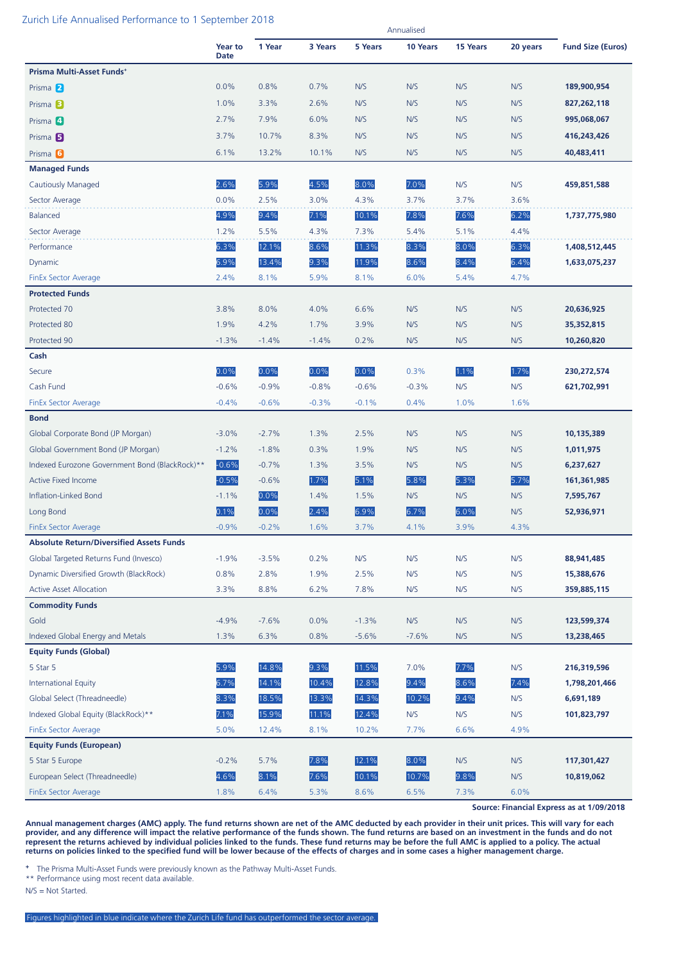#### Zurich Life Annualised Performance to 1 September 2018

|                                                 |                        | Annualised |         |         |          |                 |          |                          |
|-------------------------------------------------|------------------------|------------|---------|---------|----------|-----------------|----------|--------------------------|
|                                                 | Year to<br><b>Date</b> | 1 Year     | 3 Years | 5 Years | 10 Years | <b>15 Years</b> | 20 years | <b>Fund Size (Euros)</b> |
| Prisma Multi-Asset Funds+                       |                        |            |         |         |          |                 |          |                          |
| Prisma 2                                        | 0.0%                   | 0.8%       | 0.7%    | N/S     | N/S      | N/S             | N/S      | 189,900,954              |
| Prisma <sup>3</sup>                             | 1.0%                   | 3.3%       | 2.6%    | N/S     | N/S      | N/S             | N/S      | 827,262,118              |
| Prisma 4                                        | 2.7%                   | 7.9%       | 6.0%    | N/S     | N/S      | N/S             | N/S      | 995,068,067              |
| Prisma <sup>5</sup>                             | 3.7%                   | 10.7%      | 8.3%    | N/S     | N/S      | N/S             | N/S      | 416,243,426              |
| Prisma <sup>6</sup>                             | 6.1%                   | 13.2%      | 10.1%   | N/S     | N/S      | N/S             | N/S      | 40,483,411               |
| <b>Managed Funds</b>                            |                        |            |         |         |          |                 |          |                          |
| <b>Cautiously Managed</b>                       | 2.6%                   | 5.9%       | 4.5%    | 8.0%    | 7.0%     | N/S             | N/S      | 459,851,588              |
| Sector Average                                  | 0.0%                   | 2.5%       | 3.0%    | 4.3%    | 3.7%     | 3.7%            | 3.6%     |                          |
| <b>Balanced</b>                                 | 4.9%                   | 9.4%       | 7.1%    | 10.1%   | 7.8%     | 7.6%            | 6.2%     | 1,737,775,980            |
| Sector Average                                  | 1.2%                   | 5.5%       | 4.3%    | 7.3%    | 5.4%     | 5.1%            | 4.4%     |                          |
| Performance                                     | 6.3%                   | 12.1%      | 8.6%    | 11.3%   | 8.3%     | 8.0%            | 6.3%     | 1,408,512,445            |
| Dynamic                                         | 6.9%                   | 13.4%      | 9.3%    | 11.9%   | 8.6%     | 8.4%            | 6.4%     | 1,633,075,237            |
| <b>FinEx Sector Average</b>                     | 2.4%                   | 8.1%       | 5.9%    | 8.1%    | 6.0%     | 5.4%            | 4.7%     |                          |
| <b>Protected Funds</b>                          |                        |            |         |         |          |                 |          |                          |
| Protected 70                                    | 3.8%                   | 8.0%       | 4.0%    | 6.6%    | N/S      | N/S             | N/S      | 20,636,925               |
| Protected 80                                    | 1.9%                   | 4.2%       | 1.7%    | 3.9%    | N/S      | N/S             | N/S      | 35,352,815               |
| Protected 90                                    | $-1.3%$                | $-1.4%$    | $-1.4%$ | 0.2%    | N/S      | N/S             | N/S      | 10,260,820               |
| Cash                                            |                        |            |         |         |          |                 |          |                          |
| Secure                                          | 0.0%                   | 0.0%       | 0.0%    | 0.0%    | 0.3%     | 1.1%            | 1.7%     | 230, 272, 574            |
| Cash Fund                                       | $-0.6%$                | $-0.9%$    | $-0.8%$ | $-0.6%$ | $-0.3%$  | N/S             | N/S      | 621,702,991              |
| <b>FinEx Sector Average</b>                     | $-0.4%$                | $-0.6%$    | $-0.3%$ | $-0.1%$ | 0.4%     | 1.0%            | 1.6%     |                          |
| <b>Bond</b>                                     |                        |            |         |         |          |                 |          |                          |
| Global Corporate Bond (JP Morgan)               | $-3.0%$                | $-2.7%$    | 1.3%    | 2.5%    | N/S      | N/S             | N/S      | 10,135,389               |
| Global Government Bond (JP Morgan)              | $-1.2%$                | $-1.8%$    | 0.3%    | 1.9%    | N/S      | N/S             | N/S      | 1,011,975                |
| Indexed Eurozone Government Bond (BlackRock)**  | $-0.6%$                | $-0.7%$    | 1.3%    | 3.5%    | N/S      | N/S             | N/S      | 6,237,627                |
| <b>Active Fixed Income</b>                      | $-0.5%$                | $-0.6%$    | 1.7%    | 5.1%    | 5.8%     | 5.3%            | 5.7%     | 161,361,985              |
| Inflation-Linked Bond                           | $-1.1%$                | 0.0%       | 1.4%    | 1.5%    | N/S      | N/S             | N/S      | 7,595,767                |
| Long Bond                                       | 0.1%                   | 0.0%       | 2.4%    | 6.9%    | 6.7%     | 6.0%            | N/S      | 52,936,971               |
| <b>FinEx Sector Average</b>                     | $-0.9%$                | $-0.2%$    | 1.6%    | 3.7%    | 4.1%     | 3.9%            | 4.3%     |                          |
| <b>Absolute Return/Diversified Assets Funds</b> |                        |            |         |         |          |                 |          |                          |
| Global Targeted Returns Fund (Invesco)          | $-1.9%$                | $-3.5%$    | 0.2%    | N/S     | N/S      | N/S             | N/S      | 88,941,485               |
| Dynamic Diversified Growth (BlackRock)          | 0.8%                   | 2.8%       | 1.9%    | 2.5%    | N/S      | N/S             | N/S      | 15,388,676               |
| <b>Active Asset Allocation</b>                  | 3.3%                   | 8.8%       | 6.2%    | 7.8%    | N/S      | N/S             | N/S      | 359,885,115              |
| <b>Commodity Funds</b>                          |                        |            |         |         |          |                 |          |                          |
| Gold                                            | $-4.9%$                | $-7.6%$    | 0.0%    | $-1.3%$ | N/S      | N/S             | N/S      | 123,599,374              |
| Indexed Global Energy and Metals                | 1.3%                   | 6.3%       | 0.8%    | $-5.6%$ | $-7.6%$  | N/S             | N/S      | 13,238,465               |
| <b>Equity Funds (Global)</b>                    |                        |            |         |         |          |                 |          |                          |
| 5 Star 5                                        | 5.9%                   | 14.8%      | 9.3%    | 11.5%   | 7.0%     | 7.7%            | N/S      | 216,319,596              |
| <b>International Equity</b>                     | 6.7%                   | 14.1%      | 10.4%   | 12.8%   | 9.4%     | 8.6%            | 7.4%     | 1,798,201,466            |
| Global Select (Threadneedle)                    | 8.3%                   | 18.5%      | 13.3%   | 14.3%   | 10.2%    | 9.4%            | N/S      | 6,691,189                |
| Indexed Global Equity (BlackRock)**             | 7.1%                   | 15.9%      | 11.1%   | 12.4%   | N/S      | N/S             | N/S      | 101,823,797              |
| <b>FinEx Sector Average</b>                     | 5.0%                   | 12.4%      | 8.1%    | 10.2%   | 7.7%     | 6.6%            | 4.9%     |                          |
| <b>Equity Funds (European)</b>                  |                        |            |         |         |          |                 |          |                          |
| 5 Star 5 Europe                                 | $-0.2%$                | 5.7%       | 7.8%    | 12.1%   | 8.0%     | N/S             | N/S      | 117,301,427              |
| European Select (Threadneedle)                  | 4.6%                   | $8.1\%$    | 7.6%    | 10.1%   | 10.7%    | 9.8%            | N/S      | 10,819,062               |
| <b>FinEx Sector Average</b>                     | 1.8%                   | 6.4%       | 5.3%    | 8.6%    | 6.5%     | 7.3%            | 6.0%     |                          |

**Source: Financial Express as at 1/09/2018**

**Annual management charges (AMC) apply. The fund returns shown are net of the AMC deducted by each provider in their unit prices. This will vary for each provider, and any difference will impact the relative performance of the funds shown. The fund returns are based on an investment in the funds and do not represent the returns achieved by individual policies linked to the funds. These fund returns may be before the full AMC is applied to a policy. The actual returns on policies linked to the specified fund will be lower because of the effects of charges and in some cases a higher management charge.**

**<sup>+</sup>** The Prisma Multi-Asset Funds were previously known as the Pathway Multi-Asset Funds.

\*\* Performance using most recent data available.

N/S = Not Started.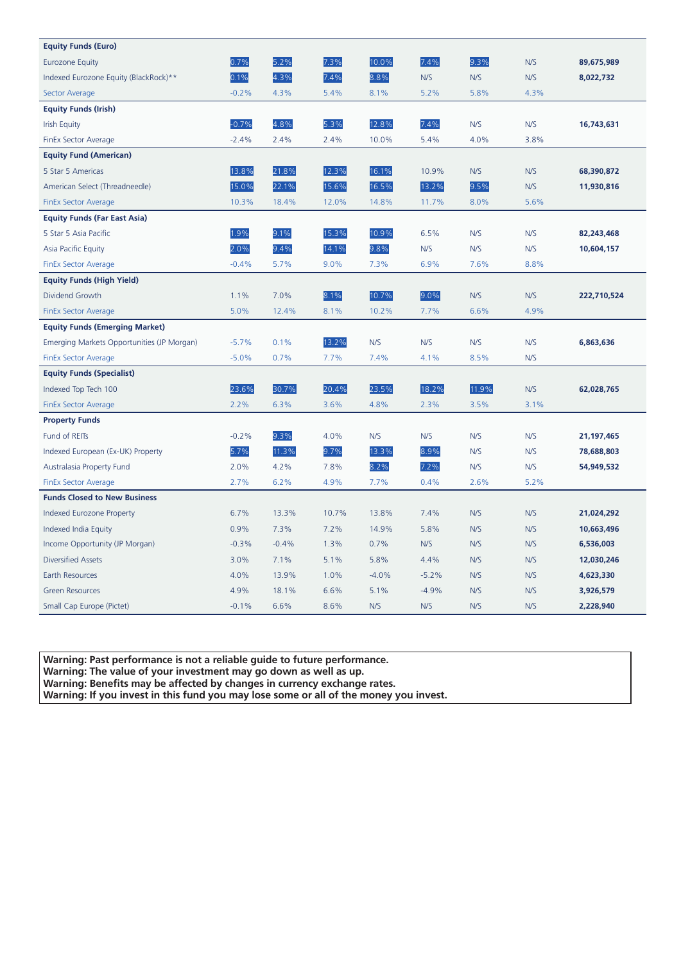| <b>Equity Funds (Euro)</b>                 |         |         |       |         |         |       |      |             |
|--------------------------------------------|---------|---------|-------|---------|---------|-------|------|-------------|
| <b>Eurozone Equity</b>                     | 0.7%    | 5.2%    | 7.3%  | 10.0%   | 7.4%    | 9.3%  | N/S  | 89,675,989  |
| Indexed Eurozone Equity (BlackRock)**      | 0.1%    | 4.3%    | 7.4%  | 8.8%    | N/S     | N/S   | N/S  | 8,022,732   |
| <b>Sector Average</b>                      | $-0.2%$ | 4.3%    | 5.4%  | 8.1%    | 5.2%    | 5.8%  | 4.3% |             |
| <b>Equity Funds (Irish)</b>                |         |         |       |         |         |       |      |             |
| <b>Irish Equity</b>                        | $-0.7%$ | 4.8%    | 5.3%  | 12.8%   | 7.4%    | N/S   | N/S  | 16,743,631  |
| FinEx Sector Average                       | $-2.4%$ | 2.4%    | 2.4%  | 10.0%   | 5.4%    | 4.0%  | 3.8% |             |
| <b>Equity Fund (American)</b>              |         |         |       |         |         |       |      |             |
| 5 Star 5 Americas                          | 13.8%   | 21.8%   | 12.3% | 16.1%   | 10.9%   | N/S   | N/S  | 68,390,872  |
| American Select (Threadneedle)             | 15.0%   | 22.1%   | 15.6% | 16.5%   | 13.2%   | 9.5%  | N/S  | 11,930,816  |
| <b>FinEx Sector Average</b>                | 10.3%   | 18.4%   | 12.0% | 14.8%   | 11.7%   | 8.0%  | 5.6% |             |
| <b>Equity Funds (Far East Asia)</b>        |         |         |       |         |         |       |      |             |
| 5 Star 5 Asia Pacific                      | 1.9%    | 9.1%    | 15.3% | 10.9%   | 6.5%    | N/S   | N/S  | 82,243,468  |
| Asia Pacific Equity                        | 2.0%    | 9.4%    | 14.1% | 9.8%    | N/S     | N/S   | N/S  | 10,604,157  |
| <b>FinEx Sector Average</b>                | $-0.4%$ | 5.7%    | 9.0%  | 7.3%    | 6.9%    | 7.6%  | 8.8% |             |
| <b>Equity Funds (High Yield)</b>           |         |         |       |         |         |       |      |             |
| Dividend Growth                            | 1.1%    | 7.0%    | 8.1%  | 10.7%   | 9.0%    | N/S   | N/S  | 222,710,524 |
| <b>FinEx Sector Average</b>                | 5.0%    | 12.4%   | 8.1%  | 10.2%   | 7.7%    | 6.6%  | 4.9% |             |
| <b>Equity Funds (Emerging Market)</b>      |         |         |       |         |         |       |      |             |
| Emerging Markets Opportunities (JP Morgan) | $-5.7%$ | 0.1%    | 13.2% | N/S     | N/S     | N/S   | N/S  | 6,863,636   |
| <b>FinEx Sector Average</b>                | $-5.0%$ | 0.7%    | 7.7%  | 7.4%    | 4.1%    | 8.5%  | N/S  |             |
| <b>Equity Funds (Specialist)</b>           |         |         |       |         |         |       |      |             |
| Indexed Top Tech 100                       | 23.6%   | 30.7%   | 20.4% | 23.5%   | 18.2%   | 11.9% | N/S  | 62,028,765  |
| <b>FinEx Sector Average</b>                | 2.2%    | 6.3%    | 3.6%  | 4.8%    | 2.3%    | 3.5%  | 3.1% |             |
| <b>Property Funds</b>                      |         |         |       |         |         |       |      |             |
| Fund of REITs                              | $-0.2%$ | 9.3%    | 4.0%  | N/S     | N/S     | N/S   | N/S  | 21,197,465  |
| Indexed European (Ex-UK) Property          | 5.7%    | 11.3%   | 9.7%  | 13.3%   | 8.9%    | N/S   | N/S  | 78,688,803  |
| Australasia Property Fund                  | 2.0%    | 4.2%    | 7.8%  | 8.2%    | 7.2%    | N/S   | N/S  | 54,949,532  |
| <b>FinEx Sector Average</b>                | 2.7%    | 6.2%    | 4.9%  | 7.7%    | 0.4%    | 2.6%  | 5.2% |             |
| <b>Funds Closed to New Business</b>        |         |         |       |         |         |       |      |             |
| Indexed Eurozone Property                  | 6.7%    | 13.3%   | 10.7% | 13.8%   | 7.4%    | N/S   | N/S  | 21,024,292  |
| Indexed India Equity                       | 0.9%    | 7.3%    | 7.2%  | 14.9%   | 5.8%    | N/S   | N/S  | 10,663,496  |
| Income Opportunity (JP Morgan)             | $-0.3%$ | $-0.4%$ | 1.3%  | 0.7%    | N/S     | N/S   | N/S  | 6,536,003   |
| <b>Diversified Assets</b>                  | 3.0%    | 7.1%    | 5.1%  | 5.8%    | 4.4%    | N/S   | N/S  | 12,030,246  |
| Earth Resources                            | 4.0%    | 13.9%   | 1.0%  | $-4.0%$ | $-5.2%$ | N/S   | N/S  | 4,623,330   |
| <b>Green Resources</b>                     | 4.9%    | 18.1%   | 6.6%  | 5.1%    | $-4.9%$ | N/S   | N/S  | 3,926,579   |
| Small Cap Europe (Pictet)                  | $-0.1%$ | 6.6%    | 8.6%  | N/S     | N/S     | N/S   | N/S  | 2,228,940   |

**Warning: Past performance is not a reliable guide to future performance.** 

**Warning: The value of your investment may go down as well as up.** 

**Warning: Benefits may be affected by changes in currency exchange rates.** 

**Warning: If you invest in this fund you may lose some or all of the money you invest.**